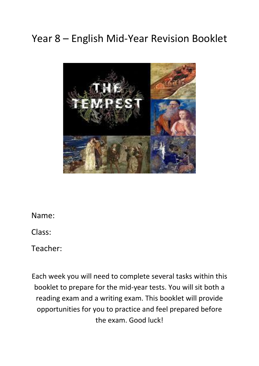# Year 8 – English Mid-Year Revision Booklet



Name:

Class:

Teacher:

Each week you will need to complete several tasks within this booklet to prepare for the mid-year tests. You will sit both a reading exam and a writing exam. This booklet will provide opportunities for you to practice and feel prepared before the exam. Good luck!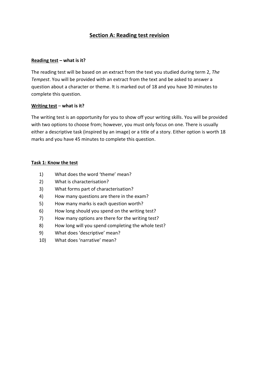## **Section A: Reading test revision**

#### **Reading test – what is it?**

The reading test will be based on an extract from the text you studied during term 2, *The Tempest*. You will be provided with an extract from the text and be asked to answer a question about a character or theme. It is marked out of 18 and you have 30 minutes to complete this question.

#### **Writing test** – **what is it?**

The writing test is an opportunity for you to show off your writing skills. You will be provided with two options to choose from; however, you must only focus on one. There is usually either a descriptive task (inspired by an image) or a title of a story. Either option is worth 18 marks and you have 45 minutes to complete this question.

#### **Task 1: Know the test**

- 1) What does the word 'theme' mean?
- 2) What is characterisation?
- 3) What forms part of characterisation?
- 4) How many questions are there in the exam?
- 5) How many marks is each question worth?
- 6) How long should you spend on the writing test?
- 7) How many options are there for the writing test?
- 8) How long will you spend completing the whole test?
- 9) What does 'descriptive' mean?
- 10) What does 'narrative' mean?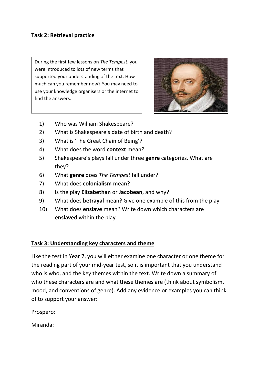## **Task 2: Retrieval practice**

During the first few lessons on *The Tempest*, you were introduced to lots of new terms that supported your understanding of the text. How much can you remember now? You may need to use your knowledge organisers or the internet to find the answers.



- 1) Who was William Shakespeare?
- 2) What is Shakespeare's date of birth and death?
- 3) What is 'The Great Chain of Being'?
- 4) What does the word **context** mean?
- 5) Shakespeare's plays fall under three **genre** categories. What are they?
- 6) What **genre** does *The Tempest* fall under?
- 7) What does **colonialism** mean?
- 8) Is the play **Elizabethan** or **Jacobean**, and why?
- 9) What does **betrayal** mean? Give one example of this from the play
- 10) What does **enslave** mean? Write down which characters are **enslaved** within the play.

## **Task 3: Understanding key characters and theme**

Like the test in Year 7, you will either examine one character or one theme for the reading part of your mid-year test, so it is important that you understand who is who, and the key themes within the text. Write down a summary of who these characters are and what these themes are (think about symbolism, mood, and conventions of genre). Add any evidence or examples you can think of to support your answer:

Prospero:

Miranda: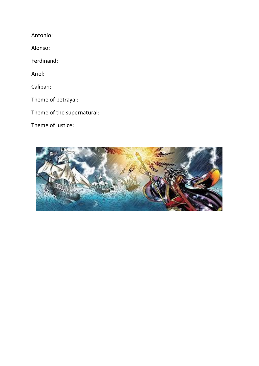Antonio:

Alonso:

Ferdinand:

Ariel:

Caliban:

Theme of betrayal:

Theme of the supernatural:

Theme of justice:

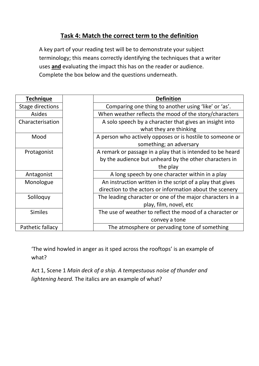# **Task 4: Match the correct term to the definition**

A key part of your reading test will be to demonstrate your subject terminology; this means correctly identifying the techniques that a writer uses **and** evaluating the impact this has on the reader or audience. Complete the box below and the questions underneath.

| <b>Technique</b>        | <b>Definition</b>                                          |
|-------------------------|------------------------------------------------------------|
| <b>Stage directions</b> | Comparing one thing to another using 'like' or 'as'.       |
| Asides                  | When weather reflects the mood of the story/characters     |
| Characterisation        | A solo speech by a character that gives an insight into    |
|                         | what they are thinking                                     |
| Mood                    | A person who actively opposes or is hostile to someone or  |
|                         | something; an adversary                                    |
| Protagonist             | A remark or passage in a play that is intended to be heard |
|                         | by the audience but unheard by the other characters in     |
|                         | the play                                                   |
| Antagonist              | A long speech by one character within in a play            |
| Monologue               | An instruction written in the script of a play that gives  |
|                         | direction to the actors or information about the scenery   |
| Soliloquy               | The leading character or one of the major characters in a  |
|                         | play, film, novel, etc                                     |
| <b>Similes</b>          | The use of weather to reflect the mood of a character or   |
|                         | convey a tone                                              |
| Pathetic fallacy        | The atmosphere or pervading tone of something              |

'The wind howled in anger as it sped across the rooftops' is an example of what?

Act 1, Scene 1 *Main deck of a ship. A tempestuous noise of thunder and lightening heard.* The italics are an example of what?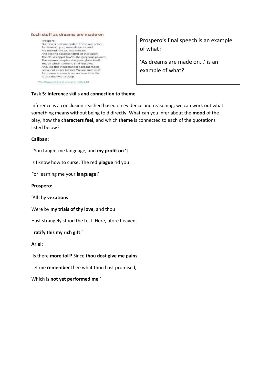#### Such stuff as dreams are made on

Prospero: Our revels now are ended. These our actors, As I foretold you, were all spirits, and Are melted into air, into thin air: And like the baseless fabric of this vision, The cloud-capp'd tow'rs, the gorgeous palaces, The solemn temples, the great globe itself, Yea, all which it inherit, shall dissolve, And, like this insubstantial pageant faded, Leave not a rack behind. We are such stuff As dreams are made on; and our little life is rounded with a sleep.

The Tempest Act 4, scene 1, 148-158

#### **Task 5: Inference skills and connection to theme**

Prospero's final speech is an example of what?

'As dreams are made on…' is an example of what?

Inference is a conclusion reached based on evidence and reasoning; we can work out what something means without being told directly. What can you infer about the **mood** of the play, how the **characters feel,** and which **theme** is connected to each of the quotations listed below?

#### **Caliban:**

'You taught me language, and **my profit on 't**

Is I know how to curse. The red **plague** rid you

For learning me your **language**!'

**Prospero:**

'All thy **vexations**

Were by **my trials of thy love**, and thou

Hast strangely stood the test. Here, afore heaven,

I **ratify this my rich gift**.'

#### **Ariel:**

'Is there **more toil?** Since **thou dost give me pains**,

Let me **remember** thee what thou hast promised,

Which is **not yet performed me**.'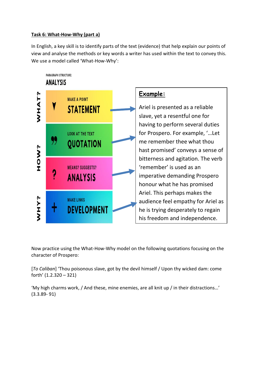## **Task 6: What-How-Why (part a)**

In English, a key skill is to identify parts of the text (evidence) that help explain our points of view and analyse the methods or key words a writer has used within the text to convey this. We use a model called 'What-How-Why':



Now practice using the What-How-Why model on the following quotations focusing on the character of Prospero:

[*To Caliban*] 'Thou poisonous slave, got by the devil himself / Upon thy wicked dam: come forth' (1.2.320 – 321)

'My high charms work, / And these, mine enemies, are all knit up / in their distractions…' (3.3.89- 91)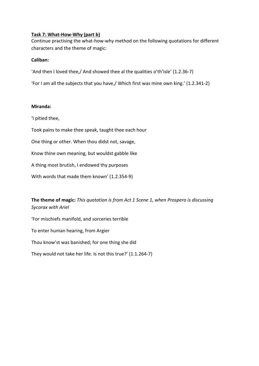#### **Task 7: What-How-Why (part b)**

Continue practising the what-how-why method on the following quotations for different characters and the theme of magic:

#### **Caliban:**

'And then I loved thee,/ And showed thee al the qualities o'th'isle' (1.2.36-7)

'For I am all the subjects that you have,/ Which first was mine own king.' (1.2.341-2)

#### **Miranda:**

'I pitied thee,

Took pains to make thee speak, taught thee each hour

One thing or other. When thou didst not, savage,

Know thine own meaning, but wouldst gabble like

A thing most brutish, I endowed thy purposes

With words that made them known' (1.2.354-9)

**The theme of magic:** *This quotation is from Act 1 Scene 1, when Prospero is discussing Sycorax with Ariel*

'For mischiefs manifold, and sorceries terrible

To enter human hearing, from Argier

Thou know'st was banished; for one thing she did

They would not take her life. Is not this true?' (1.1.264-7)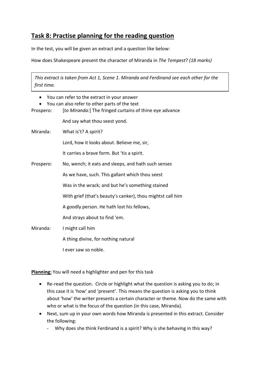## **Task 8: Practise planning for the reading question**

In the test, you will be given an extract and a question like below:

How does Shakespeare present the character of Miranda in *The Tempest*? *(18 marks)*

*This extract is taken from Act 1, Scene 1. Miranda and Ferdinand see each other for the first time.*

- You can refer to the extract in your answer
- You can also refer to other parts of the text

Prospero: [*to Miranda:*] The fringed curtains of thine eye advance

And say what thou seest yond.

Miranda: What is't? A spirit?

Lord, how it looks about. Believe me, sir,

It carries a brave form. But 'tis a spirit.

Prospero: No, wench; it eats and sleeps, and hath such senses As we have, such. This gallant which thou seest Was in the wrack; and but he's something stained With grief (that's beauty's canker), thou mightst call him A goodly person. He hath lost his fellows, And strays about to find 'em. Miranda: I might call him

A thing divine, for nothing natural

I ever saw so noble.

**Planning:** You will need a highlighter and pen for this task

- Re-read the question. Circle or highlight what the question is asking you to do; in this case it is 'how' and 'present'. This means the question is asking you to think about 'how' the writer presents a certain character or theme. Now do the same with who or what is the focus of the question (in this case, Miranda).
- Next, sum up in your own words how Miranda is presented in this extract. Consider the following:
	- Why does she think Ferdinand is a spirit? Why is she behaving in this way?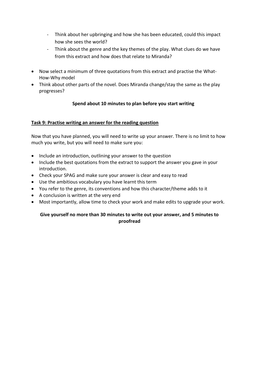- Think about her upbringing and how she has been educated, could this impact how she sees the world?
- Think about the genre and the key themes of the play. What clues do we have from this extract and how does that relate to Miranda?
- Now select a minimum of three quotations from this extract and practise the What-How-Why model
- Think about other parts of the novel. Does Miranda change/stay the same as the play progresses?

## **Spend about 10 minutes to plan before you start writing**

#### **Task 9: Practise writing an answer for the reading question**

Now that you have planned, you will need to write up your answer. There is no limit to how much you write, but you will need to make sure you:

- Include an introduction, outlining your answer to the question
- Include the best quotations from the extract to support the answer you gave in your introduction.
- Check your SPAG and make sure your answer is clear and easy to read
- Use the ambitious vocabulary you have learnt this term
- You refer to the genre, its conventions and how this character/theme adds to it
- A conclusion is written at the very end
- Most importantly, allow time to check your work and make edits to upgrade your work.

#### **Give yourself no more than 30 minutes to write out your answer, and 5 minutes to proofread**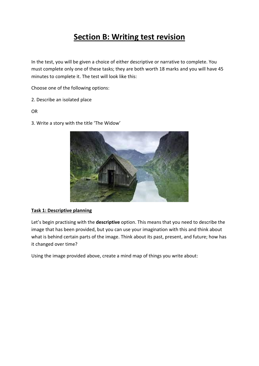# **Section B: Writing test revision**

In the test, you will be given a choice of either descriptive or narrative to complete. You must complete only one of these tasks; they are both worth 18 marks and you will have 45 minutes to complete it. The test will look like this:

Choose one of the following options:

- 2. Describe an isolated place
- OR
- 3. Write a story with the title 'The Widow'



#### **Task 1: Descriptive planning**

Let's begin practising with the **descriptive** option. This means that you need to describe the image that has been provided, but you can use your imagination with this and think about what is behind certain parts of the image. Think about its past, present, and future; how has it changed over time?

Using the image provided above, create a mind map of things you write about: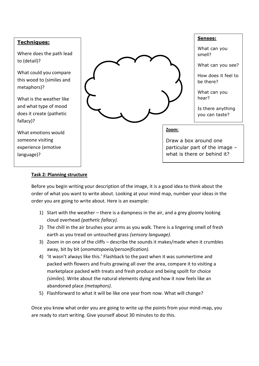## **Techniques:**

Where does the path lead to (detail)?

What could you compare this wood to (similes and metaphors)?

What is the weather like and what type of mood does it create (pathetic fallacy)?

What emotions would someone visiting experience (emotive language)?



#### **Senses:**

What can you smell?

What can you see?

How does it feel to be there?

What can you hear?

Is there anything you can taste?

#### **Zoom:**

Draw a box around one particular part of the image – what is there or behind it?

## **Task 2: Planning structure**

Before you begin writing your description of the image, it is a good idea to think about the order of what you want to write about. Looking at your mind map, number your ideas in the order you are going to write about. Here is an example:

- 1) Start with the weather there is a dampness in the air, and a grey gloomy looking cloud overhead *(pathetic fallacy).*
- 2) The chill in the air brushes your arms as you walk. There is a lingering smell of fresh earth as you tread on untouched grass *(sensory language).*
- 3) Zoom in on one of the cliffs describe the sounds it makes/made when it crumbles away, bit by bit (*onomatopoeia/personification).*
- 4) 'It wasn't always like this.' Flashback to the past when it was summertime and packed with flowers and fruits growing all over the area, compare it to visiting a marketplace packed with treats and fresh produce and being spoilt for choice *(similes*). Write about the natural elements dying and how it now feels like an abandoned place *(metaphors).*
- 5) Flashforward to what it will be like one year from now. What will change?

Once you know what order you are going to write up the points from your mind-map, you are ready to start writing. Give yourself about 30 minutes to do this.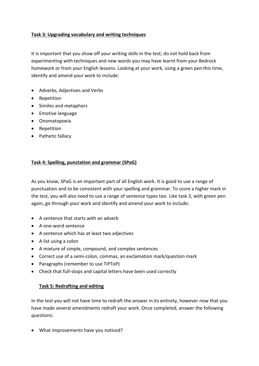#### **Task 3: Upgrading vocabulary and writing techniques**

It is important that you show off your writing skills in the test; do not hold back from experimenting with techniques and new words you may have learnt from your Bedrock homework or from your English lessons. Looking at your work, using a green pen this time, identify and amend your work to include:

- Adverbs, Adjectives and Verbs
- Repetition
- Similes and metaphors
- Emotive language
- Onomatopoeia
- Repetition
- Pathetic fallacy

#### **Task 4: Spelling, punctation and grammar (SPaG)**

As you know, SPaG is an important part of all English work. It is good to use a range of punctuation and to be consistent with your spelling and grammar. To score a higher mark in the test, you will also need to use a range of sentence types too. Like task 3, with green pen again, go through your work and identify and amend your work to include:

- A sentence that starts with an adverb
- A one-word sentence
- A sentence which has at least two adjectives
- A list using a colon
- A mixture of simple, compound, and complex sentences
- Correct use of a semi-colon, commas, an exclamation mark/question mark
- Paragraphs (remember to use TiPToP)
- Check that full-stops and capital letters have been used correctly

## **Task 5: Redrafting and editing**

In the test you will not have time to redraft the answer in its entirety, however now that you have made several amendments redraft your work. Once completed, answer the following questions:

• What improvements have you noticed?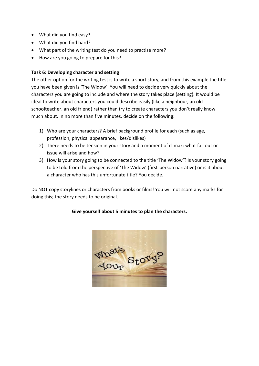- What did you find easy?
- What did you find hard?
- What part of the writing test do you need to practise more?
- How are you going to prepare for this?

#### **Task 6: Developing character and setting**

The other option for the writing test is to write a short story, and from this example the title you have been given is 'The Widow'. You will need to decide very quickly about the characters you are going to include and where the story takes place (setting). It would be ideal to write about characters you could describe easily (like a neighbour, an old schoolteacher, an old friend) rather than try to create characters you don't really know much about. In no more than five minutes, decide on the following:

- 1) Who are your characters? A brief background profile for each (such as age, profession, physical appearance, likes/dislikes)
- 2) There needs to be tension in your story and a moment of climax: what fall out or issue will arise and how?
- 3) How is your story going to be connected to the title 'The Widow'? Is your story going to be told from the perspective of 'The Widow' (first-person narrative) or is it about a character who has this unfortunate title? You decide.

Do NOT copy storylines or characters from books or films! You will not score any marks for doing this; the story needs to be original.

## **Give yourself about 5 minutes to plan the characters.**